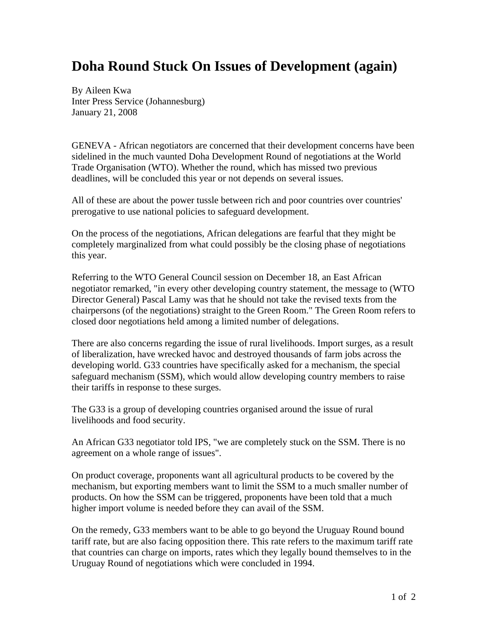## **Doha Round Stuck On Issues of Development (again)**

By Aileen Kwa Inter Press Service (Johannesburg) January 21, 2008

GENEVA - African negotiators are concerned that their development concerns have been sidelined in the much vaunted Doha Development Round of negotiations at the World Trade Organisation (WTO). Whether the round, which has missed two previous deadlines, will be concluded this year or not depends on several issues.

All of these are about the power tussle between rich and poor countries over countries' prerogative to use national policies to safeguard development.

On the process of the negotiations, African delegations are fearful that they might be completely marginalized from what could possibly be the closing phase of negotiations this year.

Referring to the WTO General Council session on December 18, an East African negotiator remarked, "in every other developing country statement, the message to (WTO Director General) Pascal Lamy was that he should not take the revised texts from the chairpersons (of the negotiations) straight to the Green Room." The Green Room refers to closed door negotiations held among a limited number of delegations.

There are also concerns regarding the issue of rural livelihoods. Import surges, as a result of liberalization, have wrecked havoc and destroyed thousands of farm jobs across the developing world. G33 countries have specifically asked for a mechanism, the special safeguard mechanism (SSM), which would allow developing country members to raise their tariffs in response to these surges.

The G33 is a group of developing countries organised around the issue of rural livelihoods and food security.

An African G33 negotiator told IPS, "we are completely stuck on the SSM. There is no agreement on a whole range of issues".

On product coverage, proponents want all agricultural products to be covered by the mechanism, but exporting members want to limit the SSM to a much smaller number of products. On how the SSM can be triggered, proponents have been told that a much higher import volume is needed before they can avail of the SSM.

On the remedy, G33 members want to be able to go beyond the Uruguay Round bound tariff rate, but are also facing opposition there. This rate refers to the maximum tariff rate that countries can charge on imports, rates which they legally bound themselves to in the Uruguay Round of negotiations which were concluded in 1994.